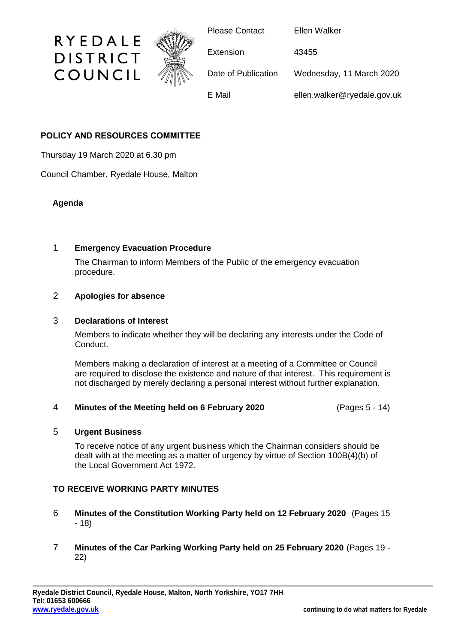

# **POLICY AND RESOURCES COMMITTEE**

Thursday 19 March 2020 at 6.30 pm

Council Chamber, Ryedale House, Malton

## **Agenda**

## 1 **Emergency Evacuation Procedure**

The Chairman to inform Members of the Public of the emergency evacuation procedure.

## 2 **Apologies for absence**

#### 3 **Declarations of Interest**

Members to indicate whether they will be declaring any interests under the Code of Conduct.

Members making a declaration of interest at a meeting of a Committee or Council are required to disclose the existence and nature of that interest. This requirement is not discharged by merely declaring a personal interest without further explanation.

## 4 **Minutes of the Meeting held on 6 February 2020** (Pages 5 - 14)

## 5 **Urgent Business**

To receive notice of any urgent business which the Chairman considers should be dealt with at the meeting as a matter of urgency by virtue of Section 100B(4)(b) of the Local Government Act 1972.

## **TO RECEIVE WORKING PARTY MINUTES**

- 6 **Minutes of the Constitution Working Party held on 12 February 2020** (Pages 15 - 18)
- 7 **Minutes of the Car Parking Working Party held on 25 February 2020** (Pages 19 22)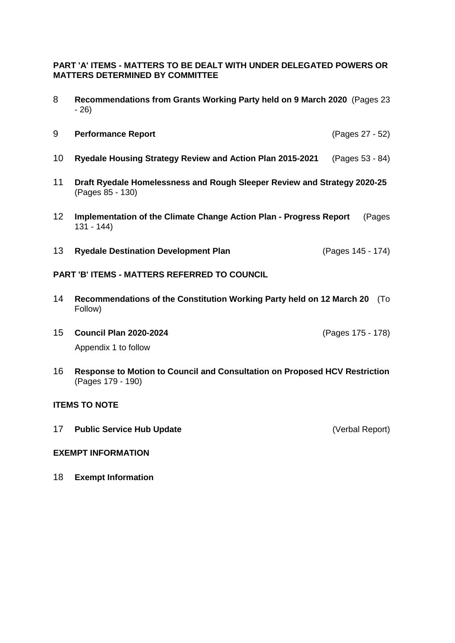**PART 'A' ITEMS - MATTERS TO BE DEALT WITH UNDER DELEGATED POWERS OR MATTERS DETERMINED BY COMMITTEE**

- 8 **Recommendations from Grants Working Party held on 9 March 2020** (Pages 23 - 26)
- 9 **Performance Report** (Pages 27 52)
- 10 **Ryedale Housing Strategy Review and Action Plan 2015-2021** (Pages 53 84)
- 11 **Draft Ryedale Homelessness and Rough Sleeper Review and Strategy 2020-25** (Pages 85 - 130)
- 12 **Implementation of the Climate Change Action Plan - Progress Report** (Pages 131 - 144)
- 13 **Ryedale Destination Development Plan** (Pages 145 174)

#### **PART 'B' ITEMS - MATTERS REFERRED TO COUNCIL**

- 14 **Recommendations of the Constitution Working Party held on 12 March 20** (To Follow)
- 15 **Council Plan 2020-2024** (Pages 175 178) Appendix 1 to follow
- 16 **Response to Motion to Council and Consultation on Proposed HCV Restriction** (Pages 179 - 190)

#### **ITEMS TO NOTE**

17 **Public Service Hub Update** (Verbal Report)

#### **EXEMPT INFORMATION**

18 **Exempt Information**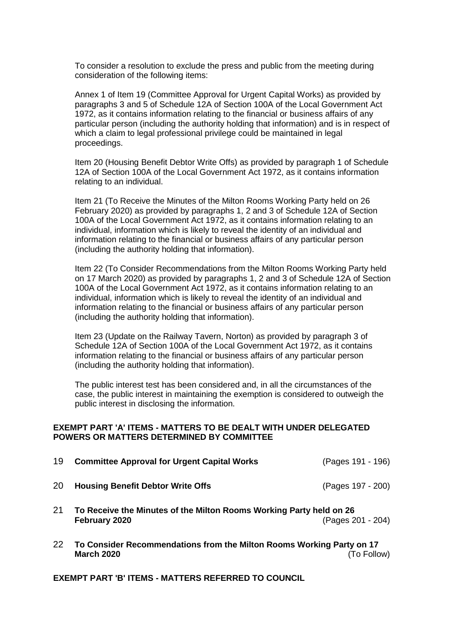To consider a resolution to exclude the press and public from the meeting during consideration of the following items:

Annex 1 of Item 19 (Committee Approval for Urgent Capital Works) as provided by paragraphs 3 and 5 of Schedule 12A of Section 100A of the Local Government Act 1972, as it contains information relating to the financial or business affairs of any particular person (including the authority holding that information) and is in respect of which a claim to legal professional privilege could be maintained in legal proceedings.

Item 20 (Housing Benefit Debtor Write Offs) as provided by paragraph 1 of Schedule 12A of Section 100A of the Local Government Act 1972, as it contains information relating to an individual.

Item 21 (To Receive the Minutes of the Milton Rooms Working Party held on 26 February 2020) as provided by paragraphs 1, 2 and 3 of Schedule 12A of Section 100A of the Local Government Act 1972, as it contains information relating to an individual, information which is likely to reveal the identity of an individual and information relating to the financial or business affairs of any particular person (including the authority holding that information).

Item 22 (To Consider Recommendations from the Milton Rooms Working Party held on 17 March 2020) as provided by paragraphs 1, 2 and 3 of Schedule 12A of Section 100A of the Local Government Act 1972, as it contains information relating to an individual, information which is likely to reveal the identity of an individual and information relating to the financial or business affairs of any particular person (including the authority holding that information).

Item 23 (Update on the Railway Tavern, Norton) as provided by paragraph 3 of Schedule 12A of Section 100A of the Local Government Act 1972, as it contains information relating to the financial or business affairs of any particular person (including the authority holding that information).

The public interest test has been considered and, in all the circumstances of the case, the public interest in maintaining the exemption is considered to outweigh the public interest in disclosing the information.

#### **EXEMPT PART 'A' ITEMS - MATTERS TO BE DEALT WITH UNDER DELEGATED POWERS OR MATTERS DETERMINED BY COMMITTEE**

| 19 | <b>Committee Approval for Urgent Capital Works</b>                                                        | (Pages 191 - 196) |
|----|-----------------------------------------------------------------------------------------------------------|-------------------|
| 20 | <b>Housing Benefit Debtor Write Offs</b>                                                                  | (Pages 197 - 200) |
| 21 | To Receive the Minutes of the Milton Rooms Working Party held on 26<br>February 2020                      | (Pages 201 - 204) |
| 22 | To Consider Recommendations from the Milton Rooms Working Party on 17<br>(To Follow)<br><b>March 2020</b> |                   |

**EXEMPT PART 'B' ITEMS - MATTERS REFERRED TO COUNCIL**